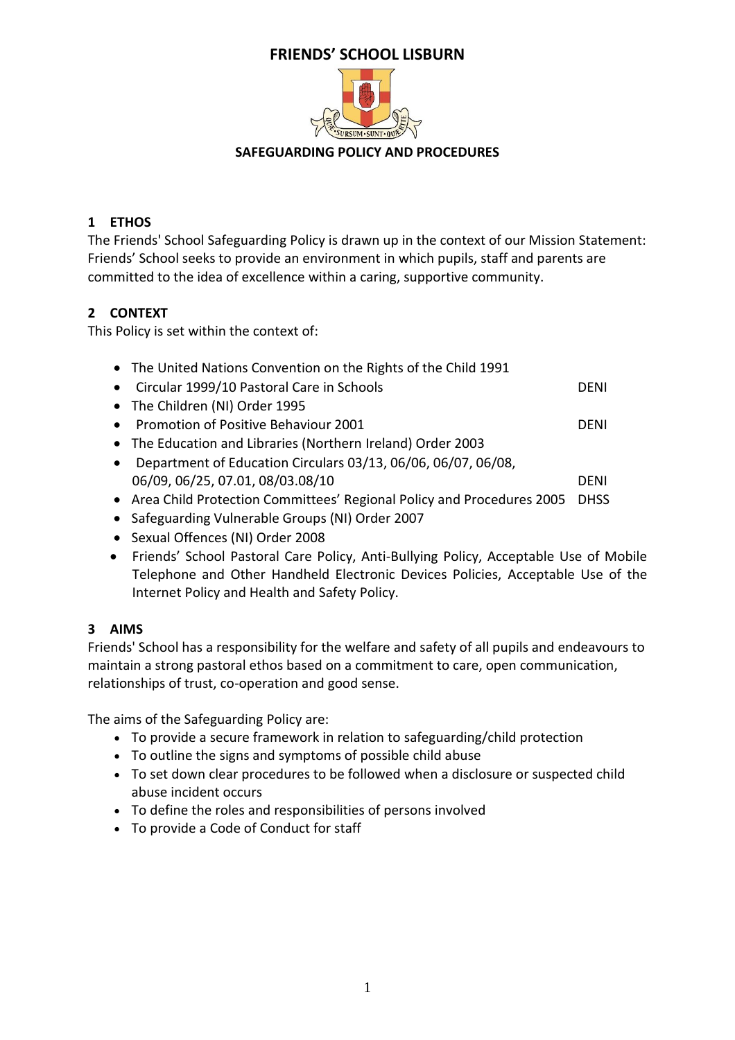# **FRIENDS' SCHOOL LISBURN**



#### **SAFEGUARDING POLICY AND PROCEDURES**

# **1 ETHOS**

The Friends' School Safeguarding Policy is drawn up in the context of our Mission Statement: Friends' School seeks to provide an environment in which pupils, staff and parents are committed to the idea of excellence within a caring, supportive community.

# **2 CONTEXT**

This Policy is set within the context of:

| • The United Nations Convention on the Rights of the Child 1991         |             |
|-------------------------------------------------------------------------|-------------|
| Circular 1999/10 Pastoral Care in Schools                               | DENI        |
| • The Children (NI) Order 1995                                          |             |
| Promotion of Positive Behaviour 2001                                    | DENI        |
| • The Education and Libraries (Northern Ireland) Order 2003             |             |
| Department of Education Circulars 03/13, 06/06, 06/07, 06/08,           |             |
| 06/09, 06/25, 07.01, 08/03.08/10                                        | DENI        |
| • Area Child Protection Committees' Regional Policy and Procedures 2005 | <b>DHSS</b> |
| • Safeguarding Vulnerable Groups (NI) Order 2007                        |             |

- Sexual Offences (NI) Order 2008
- Friends' School Pastoral Care Policy, Anti-Bullying Policy, Acceptable Use of Mobile Telephone and Other Handheld Electronic Devices Policies, Acceptable Use of the Internet Policy and Health and Safety Policy.

# **3 AIMS**

Friends' School has a responsibility for the welfare and safety of all pupils and endeavours to maintain a strong pastoral ethos based on a commitment to care, open communication, relationships of trust, co-operation and good sense.

The aims of the Safeguarding Policy are:

- To provide a secure framework in relation to safeguarding/child protection
- To outline the signs and symptoms of possible child abuse
- To set down clear procedures to be followed when a disclosure or suspected child abuse incident occurs
- To define the roles and responsibilities of persons involved
- To provide a Code of Conduct for staff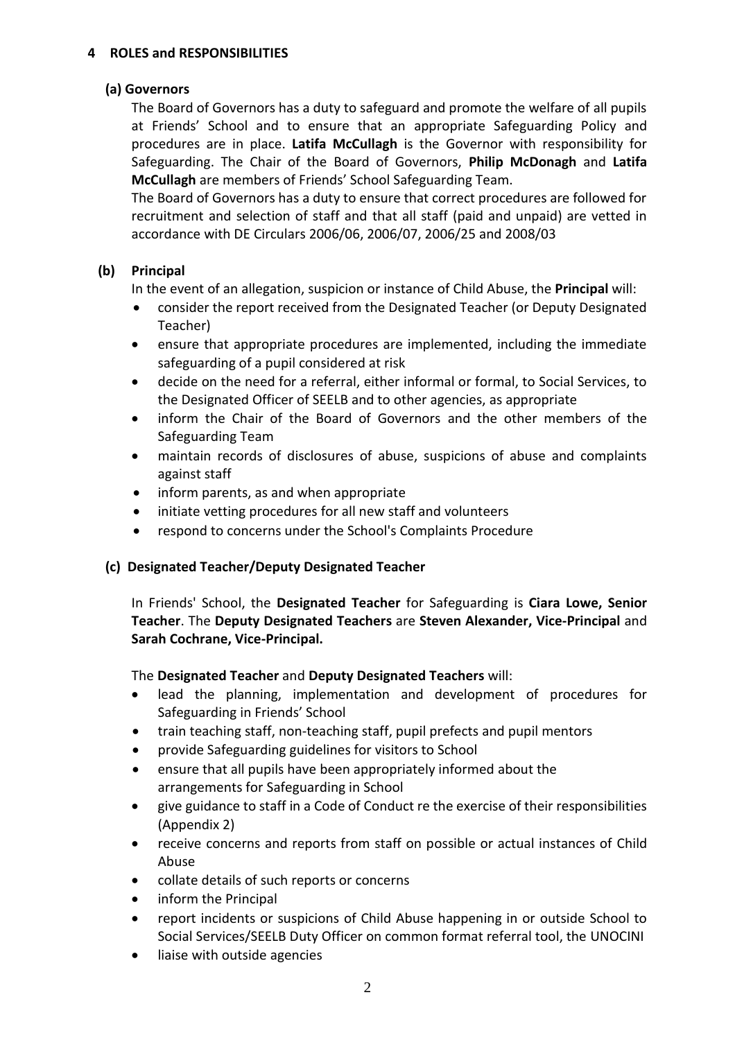#### **4 ROLES and RESPONSIBILITIES**

#### **(a) Governors**

The Board of Governors has a duty to safeguard and promote the welfare of all pupils at Friends' School and to ensure that an appropriate Safeguarding Policy and procedures are in place. **Latifa McCullagh** is the Governor with responsibility for Safeguarding. The Chair of the Board of Governors, **Philip McDonagh** and **Latifa McCullagh** are members of Friends' School Safeguarding Team.

The Board of Governors has a duty to ensure that correct procedures are followed for recruitment and selection of staff and that all staff (paid and unpaid) are vetted in accordance with DE Circulars 2006/06, 2006/07, 2006/25 and 2008/03

# **(b) Principal**

In the event of an allegation, suspicion or instance of Child Abuse, the **Principal** will:

- consider the report received from the Designated Teacher (or Deputy Designated Teacher)
- ensure that appropriate procedures are implemented, including the immediate safeguarding of a pupil considered at risk
- decide on the need for a referral, either informal or formal, to Social Services, to the Designated Officer of SEELB and to other agencies, as appropriate
- inform the Chair of the Board of Governors and the other members of the Safeguarding Team
- maintain records of disclosures of abuse, suspicions of abuse and complaints against staff
- inform parents, as and when appropriate
- initiate vetting procedures for all new staff and volunteers
- respond to concerns under the School's Complaints Procedure

# **(c) Designated Teacher/Deputy Designated Teacher**

In Friends' School, the **Designated Teacher** for Safeguarding is **Ciara Lowe, Senior Teacher**. The **Deputy Designated Teachers** are **Steven Alexander, Vice-Principal** and **Sarah Cochrane, Vice-Principal.**

The **Designated Teacher** and **Deputy Designated Teachers** will:

- lead the planning, implementation and development of procedures for Safeguarding in Friends' School
- train teaching staff, non-teaching staff, pupil prefects and pupil mentors
- provide Safeguarding guidelines for visitors to School
- ensure that all pupils have been appropriately informed about the arrangements for Safeguarding in School
- give guidance to staff in a Code of Conduct re the exercise of their responsibilities (Appendix 2)
- receive concerns and reports from staff on possible or actual instances of Child Abuse
- collate details of such reports or concerns
- inform the Principal
- report incidents or suspicions of Child Abuse happening in or outside School to Social Services/SEELB Duty Officer on common format referral tool, the UNOCINI
- liaise with outside agencies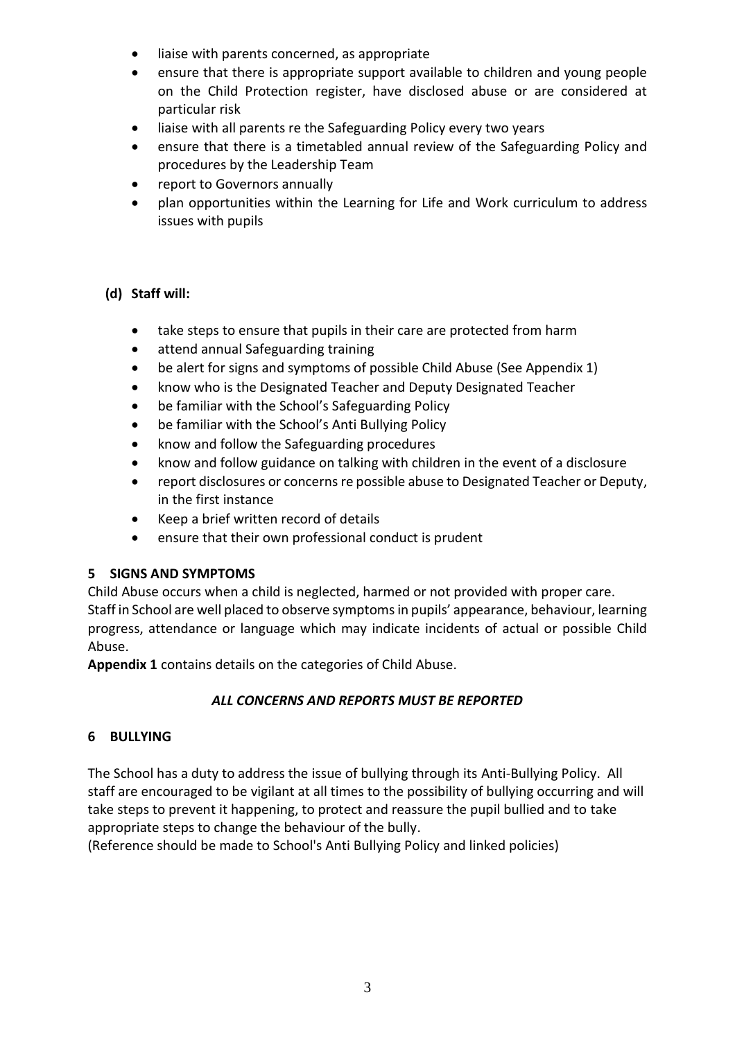- liaise with parents concerned, as appropriate
- ensure that there is appropriate support available to children and young people on the Child Protection register, have disclosed abuse or are considered at particular risk
- liaise with all parents re the Safeguarding Policy every two years
- ensure that there is a timetabled annual review of the Safeguarding Policy and procedures by the Leadership Team
- report to Governors annually
- plan opportunities within the Learning for Life and Work curriculum to address issues with pupils

# **(d) Staff will:**

- take steps to ensure that pupils in their care are protected from harm
- attend annual Safeguarding training
- be alert for signs and symptoms of possible Child Abuse (See Appendix 1)
- know who is the Designated Teacher and Deputy Designated Teacher
- be familiar with the School's Safeguarding Policy
- be familiar with the School's Anti Bullying Policy
- know and follow the Safeguarding procedures
- know and follow guidance on talking with children in the event of a disclosure
- report disclosures or concerns re possible abuse to Designated Teacher or Deputy, in the first instance
- Keep a brief written record of details
- ensure that their own professional conduct is prudent

# **5 SIGNS AND SYMPTOMS**

Child Abuse occurs when a child is neglected, harmed or not provided with proper care. Staff in School are well placed to observe symptoms in pupils' appearance, behaviour, learning progress, attendance or language which may indicate incidents of actual or possible Child Abuse.

**Appendix 1** contains details on the categories of Child Abuse.

# *ALL CONCERNS AND REPORTS MUST BE REPORTED*

# **6 BULLYING**

The School has a duty to address the issue of bullying through its Anti-Bullying Policy. All staff are encouraged to be vigilant at all times to the possibility of bullying occurring and will take steps to prevent it happening, to protect and reassure the pupil bullied and to take appropriate steps to change the behaviour of the bully.

(Reference should be made to School's Anti Bullying Policy and linked policies)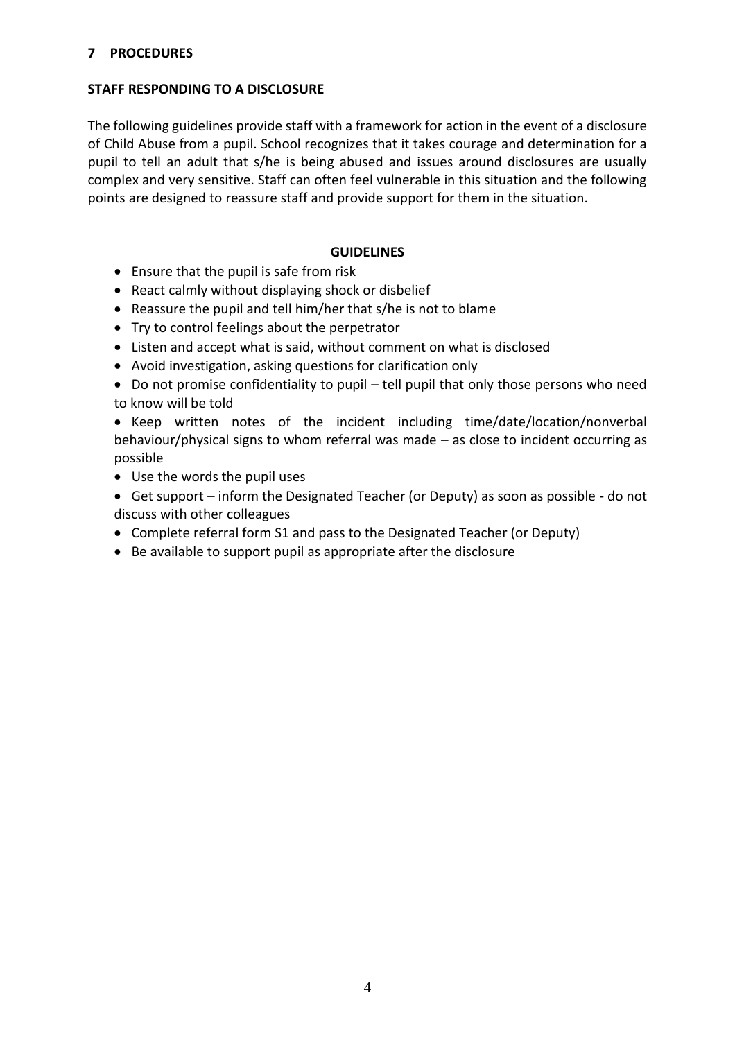#### **7 PROCEDURES**

#### **STAFF RESPONDING TO A DISCLOSURE**

The following guidelines provide staff with a framework for action in the event of a disclosure of Child Abuse from a pupil. School recognizes that it takes courage and determination for a pupil to tell an adult that s/he is being abused and issues around disclosures are usually complex and very sensitive. Staff can often feel vulnerable in this situation and the following points are designed to reassure staff and provide support for them in the situation.

#### **GUIDELINES**

- Ensure that the pupil is safe from risk
- React calmly without displaying shock or disbelief
- Reassure the pupil and tell him/her that s/he is not to blame
- Try to control feelings about the perpetrator
- Listen and accept what is said, without comment on what is disclosed
- Avoid investigation, asking questions for clarification only
- Do not promise confidentiality to pupil tell pupil that only those persons who need to know will be told

• Keep written notes of the incident including time/date/location/nonverbal behaviour/physical signs to whom referral was made – as close to incident occurring as possible

- Use the words the pupil uses
- Get support inform the Designated Teacher (or Deputy) as soon as possible do not discuss with other colleagues
- Complete referral form S1 and pass to the Designated Teacher (or Deputy)
- Be available to support pupil as appropriate after the disclosure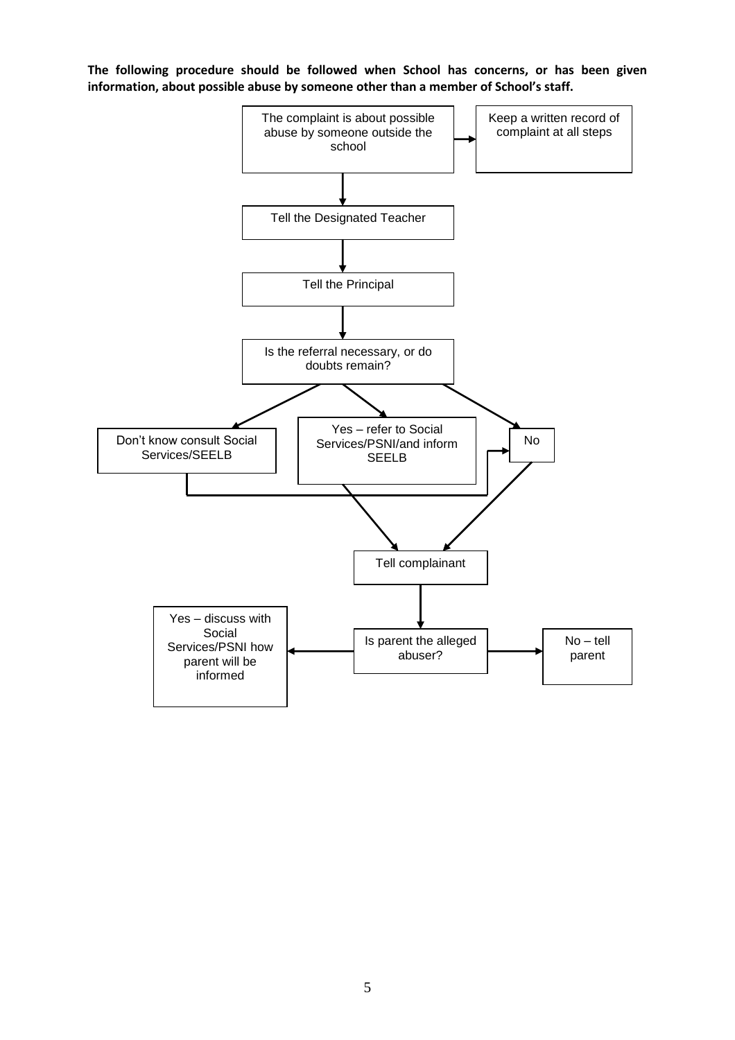**The following procedure should be followed when School has concerns, or has been given information, about possible abuse by someone other than a member of School's staff.**

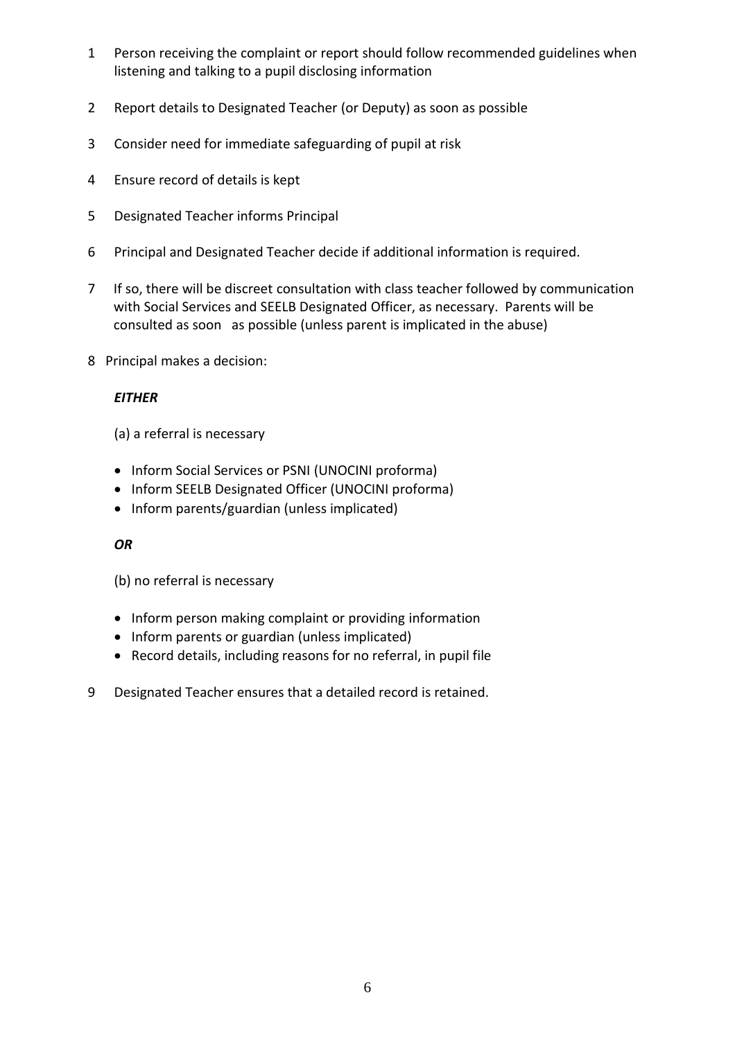- 1 Person receiving the complaint or report should follow recommended guidelines when listening and talking to a pupil disclosing information
- 2 Report details to Designated Teacher (or Deputy) as soon as possible
- 3 Consider need for immediate safeguarding of pupil at risk
- 4 Ensure record of details is kept
- 5 Designated Teacher informs Principal
- 6 Principal and Designated Teacher decide if additional information is required.
- 7 If so, there will be discreet consultation with class teacher followed by communication with Social Services and SEELB Designated Officer, as necessary. Parents will be consulted as soon as possible (unless parent is implicated in the abuse)
- 8Principal makes a decision:

# *EITHER*

(a) a referral is necessary

- Inform Social Services or PSNI (UNOCINI proforma)
- Inform SEELB Designated Officer (UNOCINI proforma)
- Inform parents/guardian (unless implicated)

# *OR*

(b) no referral is necessary

- Inform person making complaint or providing information
- Inform parents or guardian (unless implicated)
- Record details, including reasons for no referral, in pupil file
- 9 Designated Teacher ensures that a detailed record is retained.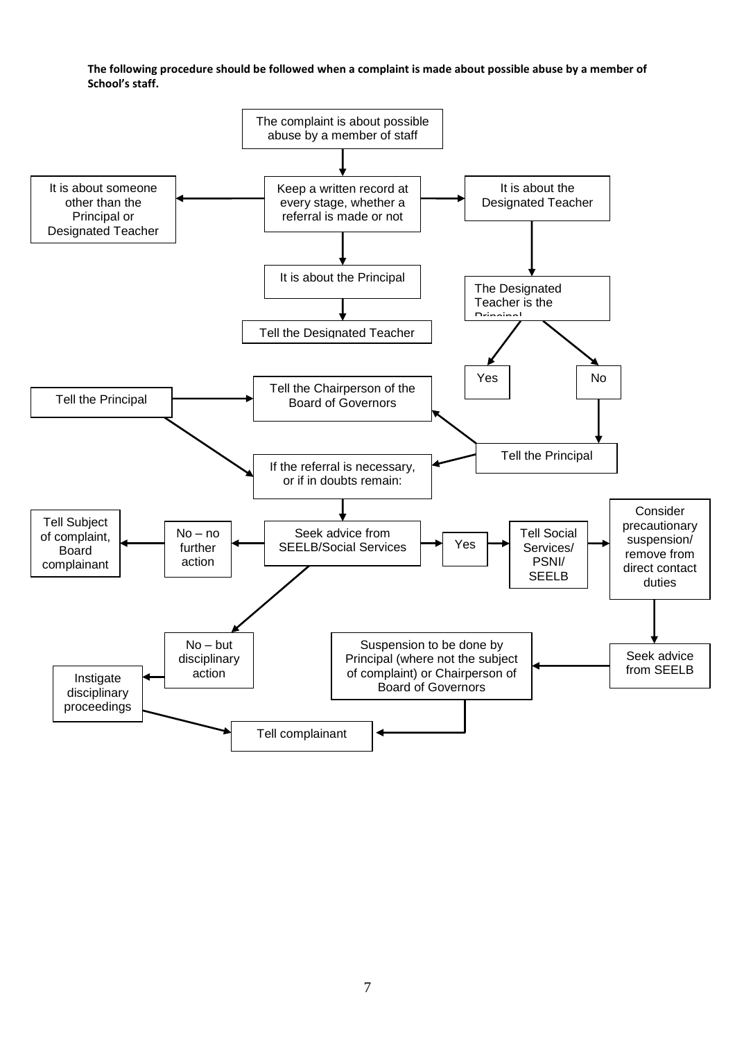**The following procedure should be followed when a complaint is made about possible abuse by a member of School's staff.**

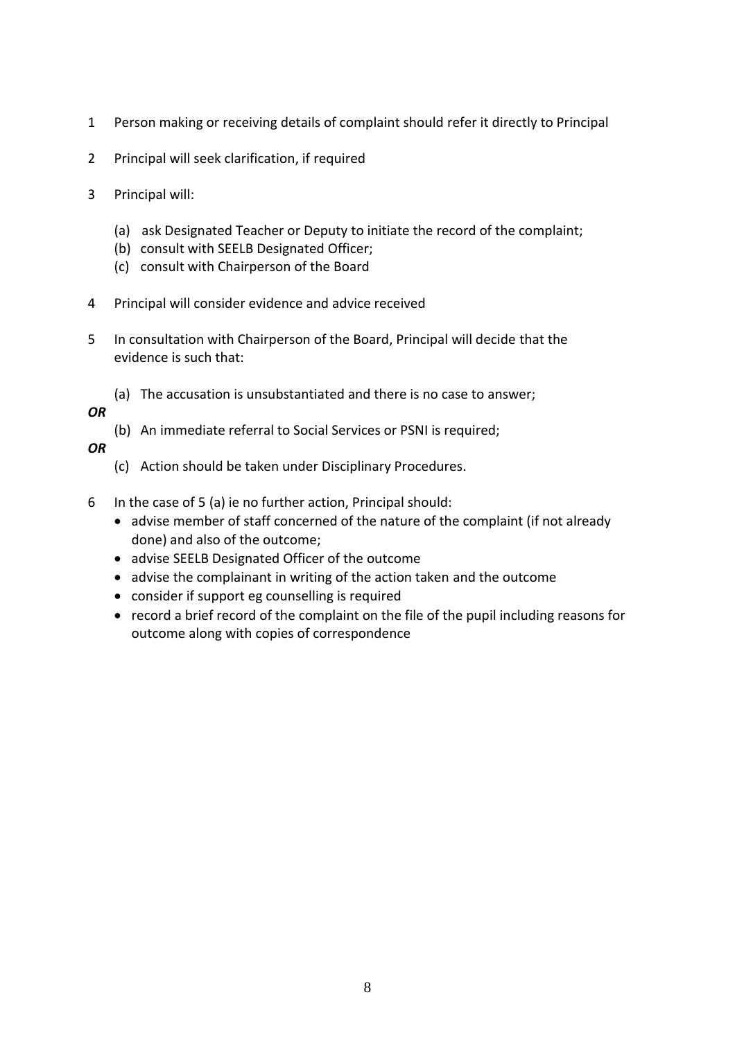- 1 Person making or receiving details of complaint should refer it directly to Principal
- 2 Principal will seek clarification, if required
- 3 Principal will:
	- (a) ask Designated Teacher or Deputy to initiate the record of the complaint;
	- (b) consult with SEELB Designated Officer;
	- (c) consult with Chairperson of the Board
- 4 Principal will consider evidence and advice received
- 5 In consultation with Chairperson of the Board, Principal will decide that the evidence is such that:
	- (a) The accusation is unsubstantiated and there is no case to answer;

# *OR*

(b) An immediate referral to Social Services or PSNI is required;

# *OR*

- (c) Action should be taken under Disciplinary Procedures.
- 6 In the case of 5 (a) ie no further action, Principal should:
	- advise member of staff concerned of the nature of the complaint (if not already done) and also of the outcome;
	- advise SEELB Designated Officer of the outcome
	- advise the complainant in writing of the action taken and the outcome
	- consider if support eg counselling is required
	- record a brief record of the complaint on the file of the pupil including reasons for outcome along with copies of correspondence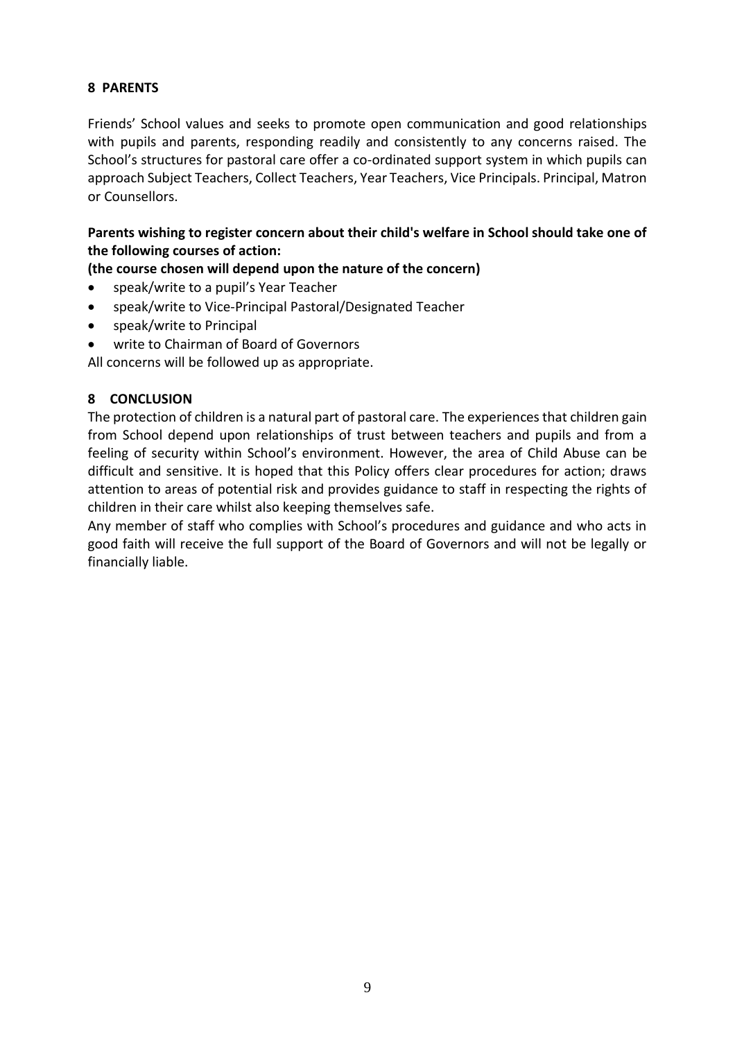# **8 PARENTS**

Friends' School values and seeks to promote open communication and good relationships with pupils and parents, responding readily and consistently to any concerns raised. The School's structures for pastoral care offer a co-ordinated support system in which pupils can approach Subject Teachers, Collect Teachers, Year Teachers, Vice Principals. Principal, Matron or Counsellors.

**Parents wishing to register concern about their child's welfare in School should take one of the following courses of action:** 

# **(the course chosen will depend upon the nature of the concern)**

- speak/write to a pupil's Year Teacher
- speak/write to Vice-Principal Pastoral/Designated Teacher
- speak/write to Principal
- write to Chairman of Board of Governors

All concerns will be followed up as appropriate.

# **8 CONCLUSION**

The protection of children is a natural part of pastoral care. The experiences that children gain from School depend upon relationships of trust between teachers and pupils and from a feeling of security within School's environment. However, the area of Child Abuse can be difficult and sensitive. It is hoped that this Policy offers clear procedures for action; draws attention to areas of potential risk and provides guidance to staff in respecting the rights of children in their care whilst also keeping themselves safe.

Any member of staff who complies with School's procedures and guidance and who acts in good faith will receive the full support of the Board of Governors and will not be legally or financially liable.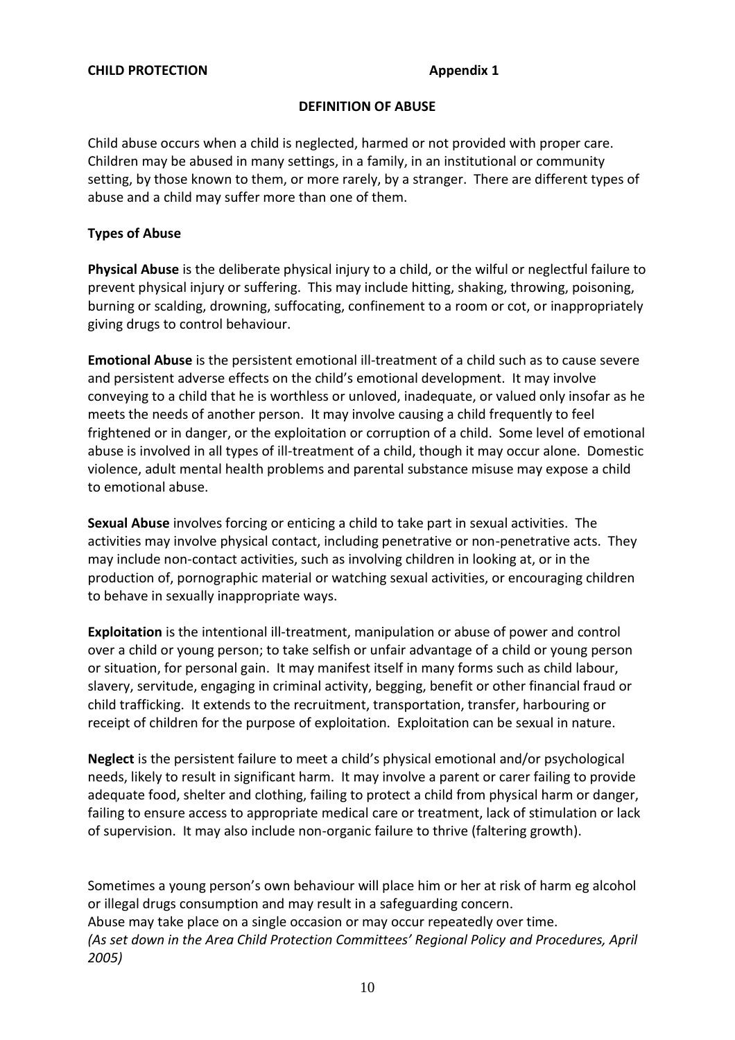#### **DEFINITION OF ABUSE**

Child abuse occurs when a child is neglected, harmed or not provided with proper care. Children may be abused in many settings, in a family, in an institutional or community setting, by those known to them, or more rarely, by a stranger. There are different types of abuse and a child may suffer more than one of them.

#### **Types of Abuse**

**Physical Abuse** is the deliberate physical injury to a child, or the wilful or neglectful failure to prevent physical injury or suffering. This may include hitting, shaking, throwing, poisoning, burning or scalding, drowning, suffocating, confinement to a room or cot, or inappropriately giving drugs to control behaviour.

**Emotional Abuse** is the persistent emotional ill-treatment of a child such as to cause severe and persistent adverse effects on the child's emotional development. It may involve conveying to a child that he is worthless or unloved, inadequate, or valued only insofar as he meets the needs of another person. It may involve causing a child frequently to feel frightened or in danger, or the exploitation or corruption of a child. Some level of emotional abuse is involved in all types of ill-treatment of a child, though it may occur alone. Domestic violence, adult mental health problems and parental substance misuse may expose a child to emotional abuse.

**Sexual Abuse** involves forcing or enticing a child to take part in sexual activities. The activities may involve physical contact, including penetrative or non-penetrative acts. They may include non-contact activities, such as involving children in looking at, or in the production of, pornographic material or watching sexual activities, or encouraging children to behave in sexually inappropriate ways.

**Exploitation** is the intentional ill-treatment, manipulation or abuse of power and control over a child or young person; to take selfish or unfair advantage of a child or young person or situation, for personal gain. It may manifest itself in many forms such as child labour, slavery, servitude, engaging in criminal activity, begging, benefit or other financial fraud or child trafficking. It extends to the recruitment, transportation, transfer, harbouring or receipt of children for the purpose of exploitation. Exploitation can be sexual in nature.

**Neglect** is the persistent failure to meet a child's physical emotional and/or psychological needs, likely to result in significant harm. It may involve a parent or carer failing to provide adequate food, shelter and clothing, failing to protect a child from physical harm or danger, failing to ensure access to appropriate medical care or treatment, lack of stimulation or lack of supervision. It may also include non-organic failure to thrive (faltering growth).

Sometimes a young person's own behaviour will place him or her at risk of harm eg alcohol or illegal drugs consumption and may result in a safeguarding concern. Abuse may take place on a single occasion or may occur repeatedly over time. *(As set down in the Area Child Protection Committees' Regional Policy and Procedures, April 2005)*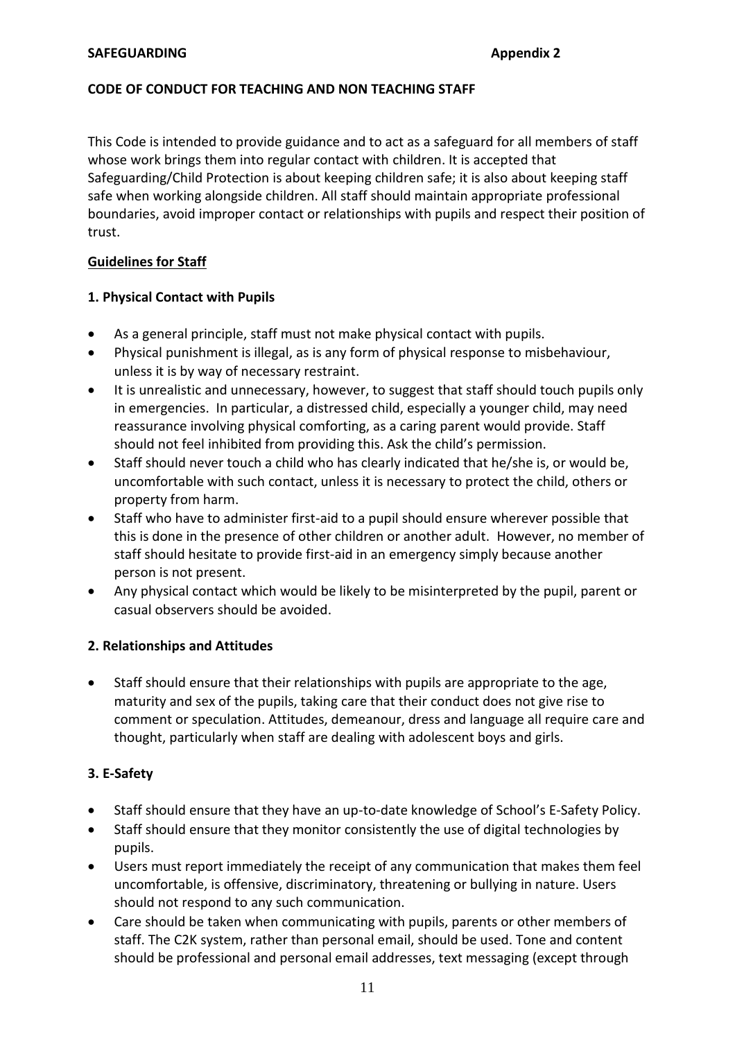#### **CODE OF CONDUCT FOR TEACHING AND NON TEACHING STAFF**

This Code is intended to provide guidance and to act as a safeguard for all members of staff whose work brings them into regular contact with children. It is accepted that Safeguarding/Child Protection is about keeping children safe; it is also about keeping staff safe when working alongside children. All staff should maintain appropriate professional boundaries, avoid improper contact or relationships with pupils and respect their position of trust.

#### **Guidelines for Staff**

#### **1. Physical Contact with Pupils**

- As a general principle, staff must not make physical contact with pupils.
- Physical punishment is illegal, as is any form of physical response to misbehaviour, unless it is by way of necessary restraint.
- It is unrealistic and unnecessary, however, to suggest that staff should touch pupils only in emergencies. In particular, a distressed child, especially a younger child, may need reassurance involving physical comforting, as a caring parent would provide. Staff should not feel inhibited from providing this. Ask the child's permission.
- Staff should never touch a child who has clearly indicated that he/she is, or would be, uncomfortable with such contact, unless it is necessary to protect the child, others or property from harm.
- Staff who have to administer first-aid to a pupil should ensure wherever possible that this is done in the presence of other children or another adult. However, no member of staff should hesitate to provide first-aid in an emergency simply because another person is not present.
- Any physical contact which would be likely to be misinterpreted by the pupil, parent or casual observers should be avoided.

# **2. Relationships and Attitudes**

 Staff should ensure that their relationships with pupils are appropriate to the age, maturity and sex of the pupils, taking care that their conduct does not give rise to comment or speculation. Attitudes, demeanour, dress and language all require care and thought, particularly when staff are dealing with adolescent boys and girls.

# **3. E-Safety**

- Staff should ensure that they have an up-to-date knowledge of School's E-Safety Policy.
- Staff should ensure that they monitor consistently the use of digital technologies by pupils.
- Users must report immediately the receipt of any communication that makes them feel uncomfortable, is offensive, discriminatory, threatening or bullying in nature. Users should not respond to any such communication.
- Care should be taken when communicating with pupils, parents or other members of staff. The C2K system, rather than personal email, should be used. Tone and content should be professional and personal email addresses, text messaging (except through